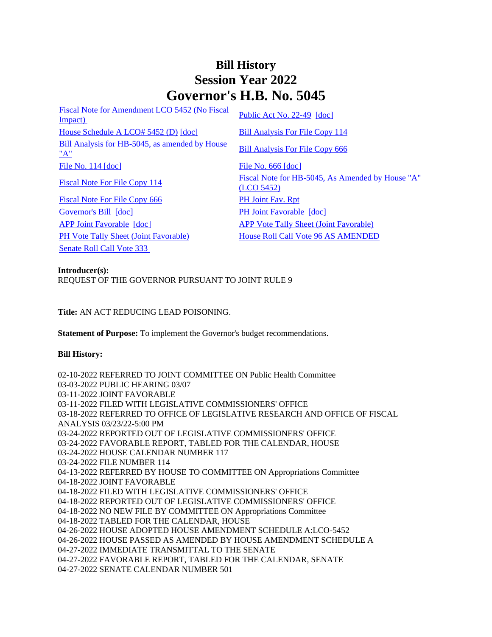## **Bill History Session Year 2022 Governor's H.B. No. 5045**

[Fiscal Note for Amendment LCO 5452 \(No Fiscal](/2022/fna/pdf/2022HB-05045-R00LCO05452-FNA.PDF)  <u>Fiscal Note for Alliendinent LCO 3432 (NO Fiscal</u> [Public Act No. 22-49](/2022/ACT/PA/PDF/2022PA-00049-R00HB-05045-PA.PDF) [\[doc\]](https://search.cga.state.ct.us/dl2022/PA/DOC/2022PA-00049-R00HB-05045-PA.DOCX) [House Schedule A LCO# 5452 \(D\)](/2022/amd/H/pdf/2022HB-05045-R00HA-AMD.pdf) [\[doc\]](https://search.cga.state.ct.us/dl2022/AMd/DOC/2022HB-05045-R00HA-AMD.Docx) [Bill Analysis For File Copy 114](/2022/BA/PDF/2022HB-05045-R000114-BA.PDF) [Bill Analysis for HB-5045, as amended by House](/2022/BA/PDF/2022HB-05045-R01-BA.PDF)  <u>Bill Analysis for TIB-5045, as amended by Trouse</u><br>["A"](/2022/BA/PDF/2022HB-05045-R01-BA.PDF) [File No. 114](/2022/FC/PDF/2022HB-05045-R000114-FC.PDF) [\[doc\]](https://search.cga.state.ct.us/dl2022/fc/doc/2022HB-05045-R000666-FC.docx) [File No. 666](/2022/FC/PDF/2022HB-05045-R000666-FC.PDF) [doc] [Fiscal Note For File Copy 114](/2022/FN/PDF/2022HB-05045-R000114-FN.PDF) Fiscal Note for HB-5045, As Amended by House "A" [\(LCO 5452\)](/2022/FN/PDF/2022HB-05045-R01-FN.PDF) [Fiscal Note For File Copy 666](/2022/FN/PDF/2022HB-05045-R010666-FN.PDF) [PH Joint Fav. Rpt](/2022/JFR/H/PDF/2022HB-05045-R00PH-JFR.PDF) [Governor's Bill](/2022/TOB/H/PDF/2022HB-05045-R00-HB.PDF) [\[doc\]](https://search.cga.state.ct.us/dl2022/TOB/DOC/2022HB-05045-R01-HB.DOCX) [PH Joint Favorable](/2022/TOB/H/PDF/2022HB-05045-R01-HB.PDF) [doc] [APP Joint Favorable](/2022/TOB/H/PDF/2022HB-05045-R02-HB.PDF) [\[doc\]](https://search.cga.state.ct.us/dl2022/TOB/DOC/2022HB-05045-R02-HB.DOCX) [APP Vote Tally Sheet \(Joint Favorable\)](/2022/TS/H/PDF/2022HB-05045-R00APP-CV52-TS.PDF) [PH Vote Tally Sheet \(Joint Favorable\)](/2022/TS/H/PDF/2022HB-05045-R00PH-CV68-TS.PDF) House Roll Call Vote 96 AS AMENDED [Senate Roll Call Vote 333](/2022/VOTE/S/PDF/2022SV-00333-R00HB05045-SV.PDF) 

**Introducer(s):** REQUEST OF THE GOVERNOR PURSUANT TO JOINT RULE 9

**Title:** AN ACT REDUCING LEAD POISONING.

**Statement of Purpose:** To implement the Governor's budget recommendations.

## **Bill History:**

02-10-2022 REFERRED TO JOINT COMMITTEE ON Public Health Committee 03-03-2022 PUBLIC HEARING 03/07 03-11-2022 JOINT FAVORABLE 03-11-2022 FILED WITH LEGISLATIVE COMMISSIONERS' OFFICE 03-18-2022 REFERRED TO OFFICE OF LEGISLATIVE RESEARCH AND OFFICE OF FISCAL ANALYSIS 03/23/22-5:00 PM 03-24-2022 REPORTED OUT OF LEGISLATIVE COMMISSIONERS' OFFICE 03-24-2022 FAVORABLE REPORT, TABLED FOR THE CALENDAR, HOUSE 03-24-2022 HOUSE CALENDAR NUMBER 117 03-24-2022 FILE NUMBER 114 04-13-2022 REFERRED BY HOUSE TO COMMITTEE ON Appropriations Committee 04-18-2022 JOINT FAVORABLE 04-18-2022 FILED WITH LEGISLATIVE COMMISSIONERS' OFFICE 04-18-2022 REPORTED OUT OF LEGISLATIVE COMMISSIONERS' OFFICE 04-18-2022 NO NEW FILE BY COMMITTEE ON Appropriations Committee 04-18-2022 TABLED FOR THE CALENDAR, HOUSE 04-26-2022 HOUSE ADOPTED HOUSE AMENDMENT SCHEDULE A:LCO-5452 04-26-2022 HOUSE PASSED AS AMENDED BY HOUSE AMENDMENT SCHEDULE A 04-27-2022 IMMEDIATE TRANSMITTAL TO THE SENATE 04-27-2022 FAVORABLE REPORT, TABLED FOR THE CALENDAR, SENATE 04-27-2022 SENATE CALENDAR NUMBER 501